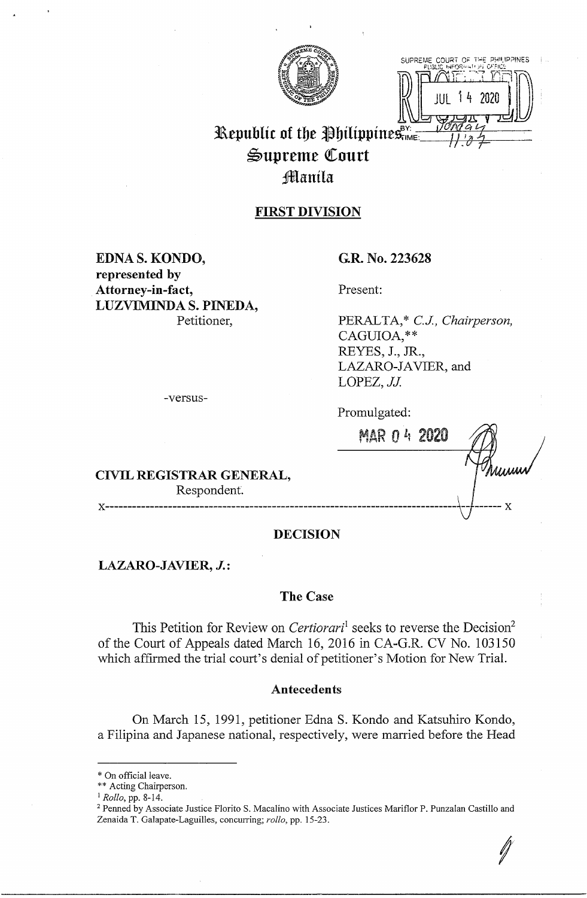

SUPREME COURT OF THE PHILIPPINES **H3::;~~D** 

# **Republic of the Philippines,**  $\frac{1}{2}$  $\mathfrak{S}$ upreme Court Jffilanila

# **FIRST DIVISION**

**EDNA S. KONDO, represented by Attorney-in-fact, LUZVIMINDA S. PINEDA,**  Petitioner,

# **G.R. No. 223628**

Present:

PERALTA,\* *C.J, Chairperson,*  CAGUIOA, \*\*<br>REYES, J., JR., LAZARO-JAVIER, and LOPEZ, *JJ.* 

Promulgated:

MAR O *li* 2020

**CIVIL REGISTRAR GENERAL,**  Respondent.

-versus-

**X------------------------------------------------------------------------------\J** ----- **X** 

# **DECISION**

**LAZARO-JAVIER, J.:** 

### **The Case**

This Petition for Review on *Certiorari*<sup>1</sup> seeks to reverse the Decision<sup>2</sup> of the Court of Appeals dated March 16, 2016 in CA-G.R. CV No. 103150 which affirmed the trial court's denial of petitioner's Motion for New Trial.

### **Antecedents**

On March 15, 1991, petitioner Edna S. Kondo and Katsuhiro Kondo, a Filipina and Japanese national, respectively, were married before the Head

<sup>\*</sup> On official leave.

<sup>\*\*</sup> Acting Chairperson.

<sup>1</sup>*Rollo,* pp. 8-14.

<sup>&</sup>lt;sup>2</sup> Penned by Associate Justice Florito S. Macalino with Associate Justices Mariflor P. Punzalan Castillo and Zenaida T. Galapate-Laguilles, concurring; *rollo,* pp. 15-23.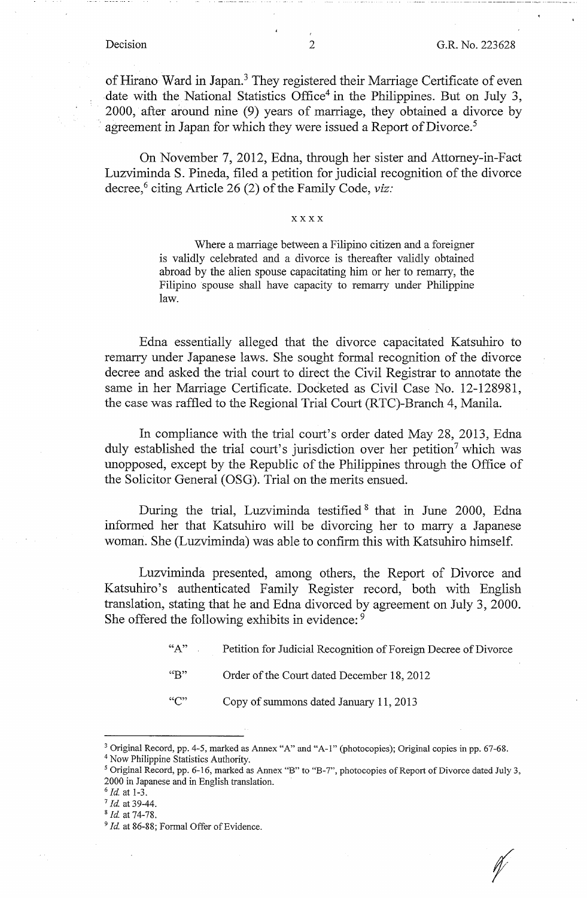*f* 

of Hirano Ward in Japan.<sup>3</sup> They registered their Marriage Certificate of even date with the National Statistics Office<sup>4</sup> in the Philippines. But on July 3, 2000, after around nine (9) years of marriage, they obtained a divorce by agreement in Japan for which they were issued a Report of Divorce.<sup>5</sup>

On November 7, 2012, Edna, through her sister and Attorney-in-Fact Luzviminda S. Pineda, filed a petition for judicial recognition of the divorce decree,<sup>6</sup> citing Article 26 (2) of the Family Code, *viz*:

#### **xxxx**

Where a marriage between a Filipino citizen and a foreigner is validly celebrated and a divorce is thereafter validly obtained abroad by the alien spouse capacitating him or her to remarry, the Filipino spouse shall have capacity to remarry under Philippine law.

Edna essentially alleged that the divorce capacitated Katsuhiro to remarry under Japanese laws. She sought formal recognition of the divorce decree and asked the trial court to direct the Civil Registrar to annotate the same in her Marriage Certificate. Docketed as Civil Case No. 12-128981, the case was raffled to the Regional Trial Court (RTC)-Branch 4, Manila.

In compliance with the trial court's order dated May 28, 2013, Edna duly established the trial court's jurisdiction over her petition<sup>7</sup> which was unopposed, except by the Republic of the Philippines through the Office of the Solicitor General (OSG). Trial on the merits ensued.

During the trial, Luzviminda testified <sup>8</sup> that in June 2000, Edna informed her that Katsuhiro will be divorcing her to marry a Japanese woman. She (Luzviminda) was able to confirm this with Katsuhiro himself.

Luzviminda presented, among others, the Report of Divorce and Katsuhiro's authenticated Family Register record, both with English translation, stating that he and Edna divorced by agreement on July 3, 2000. **She** offered the following exhibits in evidence: <sup>9</sup>

- "A" Petition for Judicial Recognition of Foreign Decree of Divorce
- "B" Order of the Court dated December 18, 2012
- "C" Copy of summons dated January 11, 2013

<sup>3</sup> Original Record, pp. 4-5, marked as Annex "A" and "A-1" (photocopies); Original copies in pp. 67-68. <sup>4</sup> Now Philippine Statistics Authority.

<sup>5</sup>Original Record, pp. 6-16, marked as Annex "B" to "B-7", photocopies of Report of Divorce dated July 3, 2000 in Japanese and in English translation.

<sup>6</sup>*Id* at 1-3.

<sup>7</sup>*Id.* at 39-44.

<sup>8</sup>*Id.* at 74-78.

<sup>&</sup>lt;sup>9</sup> Id. at 86-88; Formal Offer of Evidence.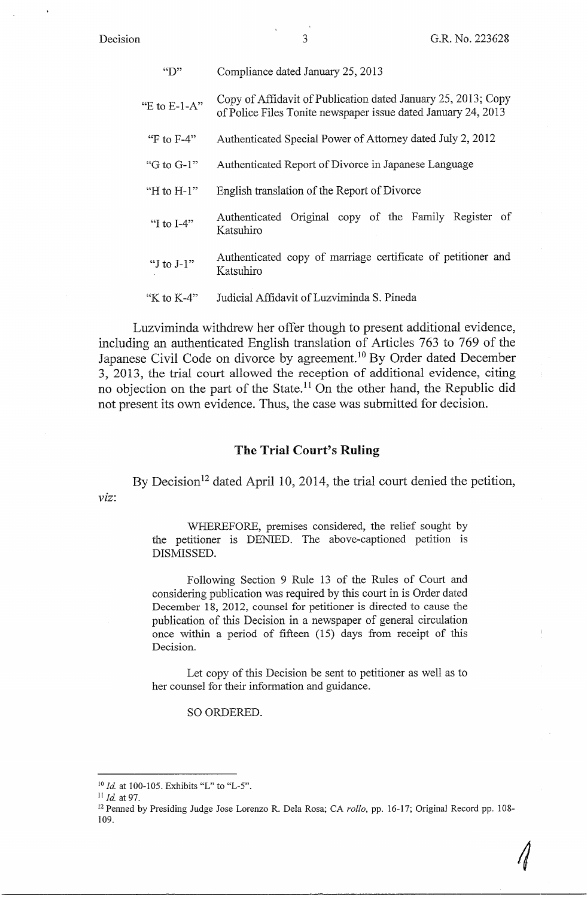Decision

| $\mathbf{C}$    | Compliance dated January 25, 2013                                                                                              |
|-----------------|--------------------------------------------------------------------------------------------------------------------------------|
| "E to $E$ -1-A" | Copy of Affidavit of Publication dated January 25, 2013; Copy<br>of Police Files Tonite newspaper issue dated January 24, 2013 |
| "F to $F-4$ "   | Authenticated Special Power of Attorney dated July 2, 2012                                                                     |
| "G to G-1"      | Authenticated Report of Divorce in Japanese Language                                                                           |
| "H to $H-1$ "   | English translation of the Report of Divorce                                                                                   |
| "I to $I-4$ "   | Authenticated Original copy of the Family Register of<br>Katsuhiro                                                             |
| "I to $J-1$ "   | Authenticated copy of marriage certificate of petitioner and<br>Katsuhiro                                                      |
| "K to $K-4$ "   | Judicial Affidavit of Luzviminda S. Pineda                                                                                     |

Luzviminda withdrew her offer though to present additional evidence, including an authenticated English translation of Articles 763 to 769 of the Japanese Civil Code on divorce by agreement. 10 By Order dated December 3, 2013, the trial court allowed the reception of additional evidence, citing no objection on the part of the State.<sup>11</sup> On the other hand, the Republic did not present its own evidence. Thus, the case was submitted for decision.

#### **The Trial Court's Ruling**

*viz:*  By Decision<sup>12</sup> dated April 10, 2014, the trial court denied the petition,

> WHEREFORE, premises considered, the relief sought by the petitioner is DENIED. The above-captioned petition is DISMISSED.

> Following Section 9 Rule 13 of the Rules of Court and considering publication was required by this court in is Order dated December 18, 2012, counsel for petitioner is directed to cause the publication of this Decision in a newspaper of general circulation once within a period of fifteen (15) days from receipt of this Decision.

> Let copy of this Decision be sent to petitioner as well as to her counsel for their information and guidance.

> > SO ORDERED.

<sup>&</sup>lt;sup>10</sup> *Id.* at 100-105. Exhibits "L" to "L-5".

<sup>&</sup>lt;sup>11</sup> *Id.* at 97.<br><sup>12</sup> Penned by Presiding Judge Jose Lorenzo R. Dela Rosa; CA *rollo*, pp. 16-17; Original Record pp. 108-109.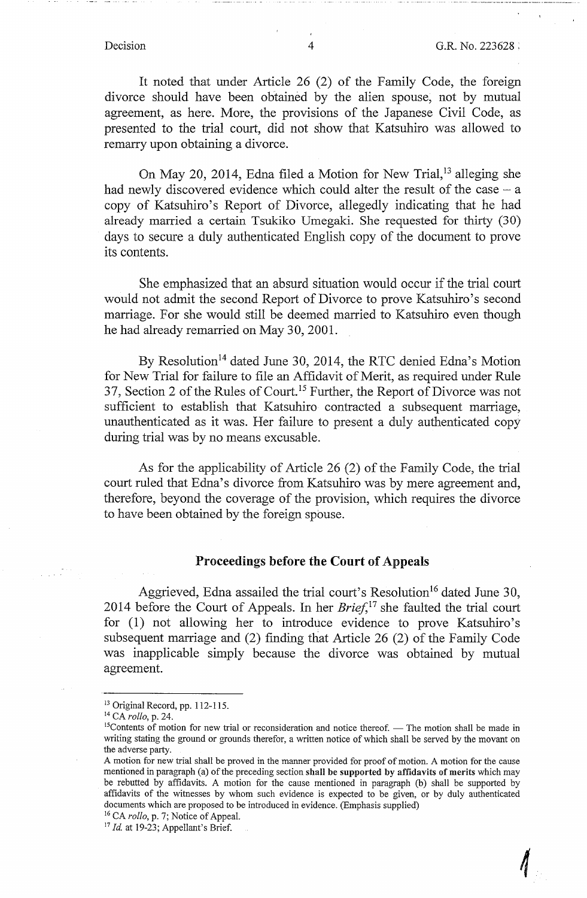*4* 

It noted that under Article 26 (2) of the Family Code, the foreign divorce should have been obtained by the alien spouse, not by mutual agreement, as here. More, the provisions of the Japanese Civil Code, as presented to the trial court, did not show that Katsuhiro was allowed to remarry upon obtaining a divorce.

On May 20, 2014, Edna filed a Motion for New Trial,<sup>13</sup> alleging she had newly discovered evidence which could alter the result of the case  $-$  a copy of Katsuhiro's Report of Divorce, allegedly indicating that he had already married a certain Tsukiko Umegaki. She requested for thirty (30) days to secure a duly authenticated English copy of the document to prove its contents.

She emphasized that an absurd situation would occur if the trial court would not admit the second Report of Divorce to prove Katsuhiro's second marriage. For she would still be deemed married to Katsuhiro even though he had already remarried on May 30, 2001.

By Resolution<sup>14</sup> dated June 30, 2014, the RTC denied Edna's Motion for New Trial for failure to file an Affidavit of Merit, as required under Rule 37, Section 2 of the Rules of Court.<sup>15</sup> Further, the Report of Divorce was not sufficient to establish that Katsuhiro contracted a subsequent marriage, unauthenticated as it was. Her failure to present a duly authenticated copy during trial was by no means excusable.

As for the applicability of Article 26 (2) of the Family Code, the trial court ruled that Edna's divorce from Katsuhiro was by mere agreement and, therefore, beyond the coverage of the provision, which requires the divorce to have been obtained by the foreign spouse.

# **Proceedings before the Court of Appeals**

Aggrieved, Edna assailed the trial court's Resolution<sup>16</sup> dated June 30, 2014 before the Court of Appeals. In her *Brief*,<sup>17</sup> she faulted the trial court for (1) not allowing her to introduce evidence to prove Katsuhiro's subsequent marriage and (2) finding that Article 26 (2) of the Family Code was inapplicable simply because the divorce was obtained by mutual agreement.

<sup>&</sup>lt;sup>13</sup> Original Record, pp. 112-115.<br><sup>14</sup> CA *rollo*, p. 24.<br><sup>15</sup>Contents of motion for new trial or reconsideration and notice thereof. — The motion shall be made in writing stating the ground or grounds therefor, a written notice of which shall be served by the movant on the adverse party.

A motion for new trial shall be proved in the manner provided for proof of motion. A motion for the cause mentioned in paragraph (a) of the preceding section **shall be supported by affidavits of merits** which may be rebutted by affidavits. A motion for the cause mentioned in paragraph (b) shall be supported by affidavits of the witnesses by whom such evidence is expected to be given, or by duly authenticated documents which are proposed to be introduced in evidence. (Emphasis supplied)

<sup>16</sup> CA *rollo,* **p.** 7; Notice of Appeal. 17 *Id* at 19-23; Appellant's Brief.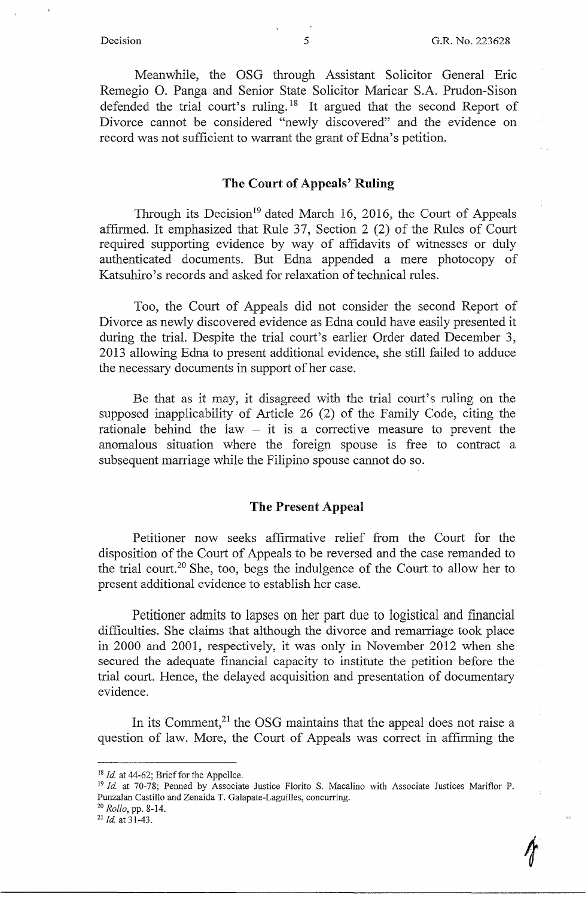$\gamma$ 

Meanwhile, the OSG through Assistant Solicitor General Eric Remegio 0. Panga and Senior State Solicitor Maricar S.A. Prudon-Sison defended the trial court's ruling.<sup>18</sup> It argued that the second Report of Divorce cannot be considered "newly discovered" and the evidence on record was not sufficient to warrant the grant of Edna's petition.

### **The Court of Appeals' Ruling**

Through its Decision<sup>19</sup> dated March 16, 2016, the Court of Appeals affirmed. It emphasized that Rule 37, Section 2 (2) of the Rules of Court required supporting evidence by way of affidavits of witnesses or duly authenticated documents. But Edna appended a mere photocopy of Katsuhiro's records and asked for relaxation of technical rules.

Too, the Court of Appeals did not consider the second Report of Divorce as newly discovered evidence as Edna could have easily presented it during the trial. Despite the trial court's earlier Order dated December 3, 2013 allowing Edna to present additional evidence, she still failed to adduce the necessary documents in support of her case.

Be that as it may, it disagreed with the trial court's ruling on the supposed inapplicability of Article 26 (2) of the Family Code, citing the rationale behind the law  $-$  it is a corrective measure to prevent the anomalous situation where the foreign spouse is free to contract a subsequent marriage while the Filipino spouse cannot do so.

### **The.Present Appeal**

Petitioner now seeks affirmative relief from the Court for the disposition of the Court of Appeals to be reversed and the case remanded to the trial court.<sup>20</sup> She, too, begs the indulgence of the Court to allow her to present additional evidence to establish her case.

Petitioner admits to lapses on her part due to logistical and financial difficulties. She claims that although the divorce and remarriage took place in 2000 and 2001, respectively, it was only in November 2012 when she secured the adequate financial capacity to institute the petition before the trial court. Hence, the delayed acquisition and presentation of documentary evidence.

In its Comment, $^{21}$  the OSG maintains that the appeal does not raise a question of law. More, the Court of Appeals was correct in affirming the

<sup>&</sup>lt;sup>18</sup> *Id.* at 44-62; Brief for the Appellee.<br><sup>19</sup> *Id.* at 70-78; Penned by Associate Justice Florito S. Macalino with Associate Justices Mariflor P. Punzalan Castillo and Zenaida T. Galapate-Laguilles, concurring. 20 *Rollo,* pp. 8-14. 21 *ld.* at 31-43.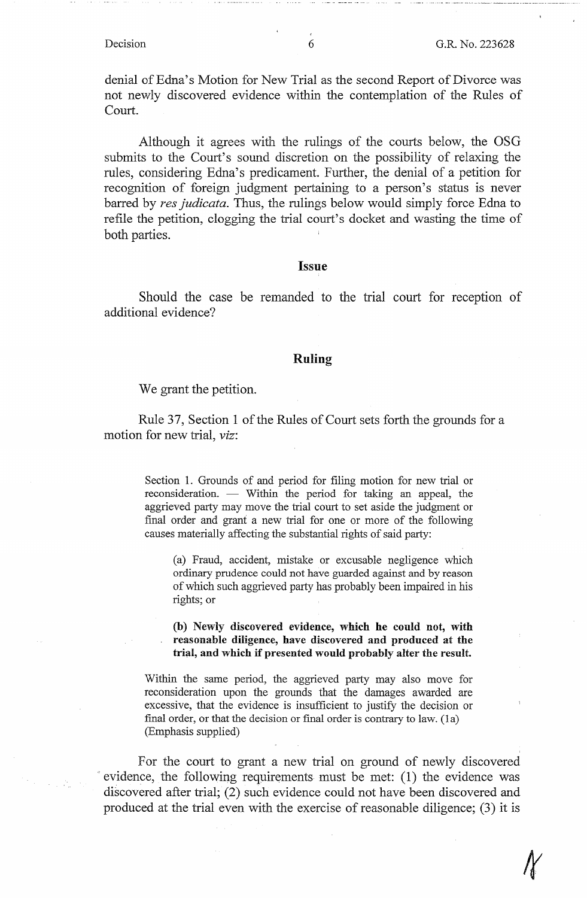denial of Edna's Motion for New Trial as the second Report of Divorce was not newly discovered evidence within the contemplation of the Rules of Court.

Although it agrees with the rulings of the courts below, the OSG submits to the Court's sound discretion on the possibility of relaxing the rules, considering Edna's predicament. Further, the denial of a petition for recognition of foreign judgment pertaining to a person's status is never barred by *res judicata.* Thus, the rulings below would simply force Edna to refile the petition, clogging the trial court's docket and wasting the time of both parties.

#### **Issue**

Should the case be remanded to the trial court for reception of additional evidence?

### **Ruling**

We grant the petition.

Rule 37, Section 1 of the Rules of Court sets forth the grounds for a motion for new trial, *viz:* 

> Section 1. Grounds of and period for filing motion for new trial or reconsideration. — Within the period for taking an appeal, the aggrieved party may move the trial court to set aside the judgment or final order and grant a new trial for one or more of the following causes materially affecting the substantial rights of said party:

(a) Fraud, accident, mistake or excusable negligence which ordinary prudence could not have guarded against and by reason of which such aggrieved party has probably been impaired in his rights; or

### **(b) Newly discovered evidence, which he could not, with reasonable diligence, have discovered and produced at the**  trial, and which if presented would probably alter the result.

Within the same period, the aggrieved party may also move for reconsideration upon the grounds that the damages awarded are excessive, that the evidence is insufficient to justify the decision or final order, or that the decision or final order is contrary to law. (1a) (Emphasis supplied)

For the court to grant a new trial on ground of newly discovered evidence, the following requirements must be met:  $(1)$  the evidence was discovered after trial; (2) such evidence could not have been discovered and produced at the trial even with the exercise of reasonable diligence; (3) it is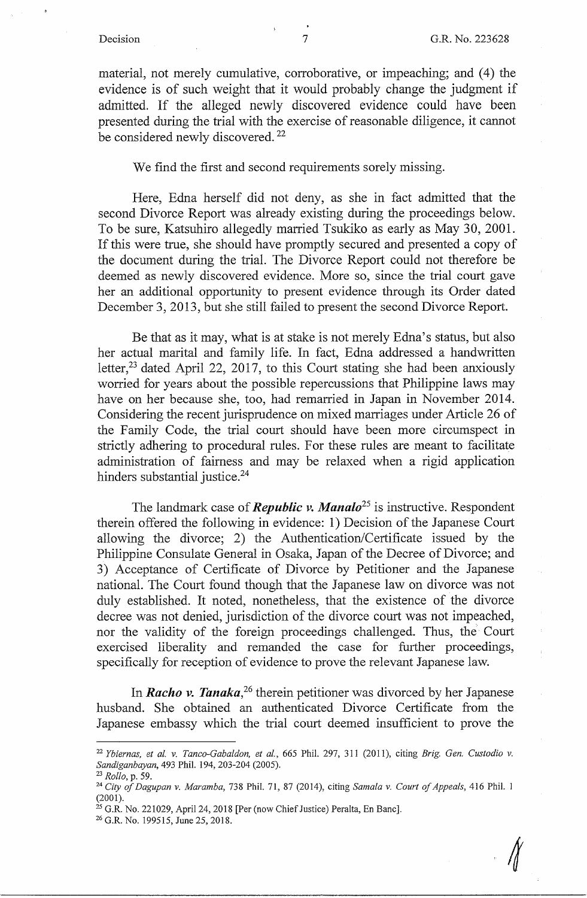material, not merely cumulative, corroborative, or impeaching; and (4) the evidence is of such weight that it would probably change the judgment if admitted. If the alleged newly discovered evidence could have been presented during the trial with the exercise of reasonable diligence, it cannot be considered newly discovered.<sup>22</sup>

We find the first and second requirements sorely missing.

Here, Edna herself did not deny, as she in fact admitted that the second Divorce Report was already existing during the proceedings below. To be sure, Katsuhiro allegedly married Tsukiko as early as May 30, 2001. If this were true, she should have promptly secured and presented a copy of the document during the trial. The Divorce Report could not therefore be deemed as newly discovered evidence. More so, since the trial court gave her an additional opportunity to present evidence through its Order dated December 3, 2013, but she still failed to present the second Divorce Report.

Be that as it may, what is at stake is not merely Edna's status, but also her actual marital and family life. In fact, Edna addressed a handwritten letter,<sup>23</sup> dated April 22, 2017, to this Court stating she had been anxiously worried for years about the possible repercussions that Philippine laws may have on her because she, too, had remarried in Japan in November 2014. Considering the recent jurisprudence on mixed marriages under Article 26 of the Family Code, the trial court should have been more circumspect in strictly adhering to procedural rules. For these rules are meant to facilitate administration of fairness and may be relaxed when a rigid application hinders substantial justice.<sup>24</sup>

The landmark case of *Republic v. Manalo25* is instructive. Respondent therein offered the following in evidence: 1) Decision of the Japanese Court allowing the divorce; 2) the Authentication/Certificate issued by the Philippine Consulate General in Osaka, Japan of the Decree of Divorce; and 3) Acceptance of Certificate of Divorce by Petitioner and the Japanese national. The Court found though that the Japanese law on divorce was not duly established. It noted, nonetheless, that the existence of the divorce decree was not denied, jurisdiction of the divorce court was not impeached, nor the validity of the foreign proceedings challenged. Thus, the Court exercised liberality and remanded the case for further proceedings, specifically for reception of evidence to prove the relevant Japanese law.

In *Racho v. Tanaka*<sup>26</sup> therein petitioner was divorced by her Japanese husband. She obtained an authenticated Divorce Certificate from the Japanese embassy which the trial court deemed insufficient to prove the

<sup>22</sup>*Ybiernas, et al. v. Tanco-Gabaldon, et al.,* 665 Phil. 297, 311 (2011), citing *Brig. Gen. Custodio v.* 

*Sandiganbayan,* 493 Phil. 194, 203-204 (2005). 23 *Rollo,* p. 59. 24 *City of Dagupan v. Maramba,* 738 Phil. 71, 87 (2014), citing *Samala v. Court of Appeals,* 416 Phil. 1 (2001).

<sup>&</sup>lt;sup>25</sup> G.R. No. 221029, April 24, 2018 [Per (now Chief Justice) Peralta, En Banc].<br><sup>26</sup> G.R. No. 199515, June 25, 2018.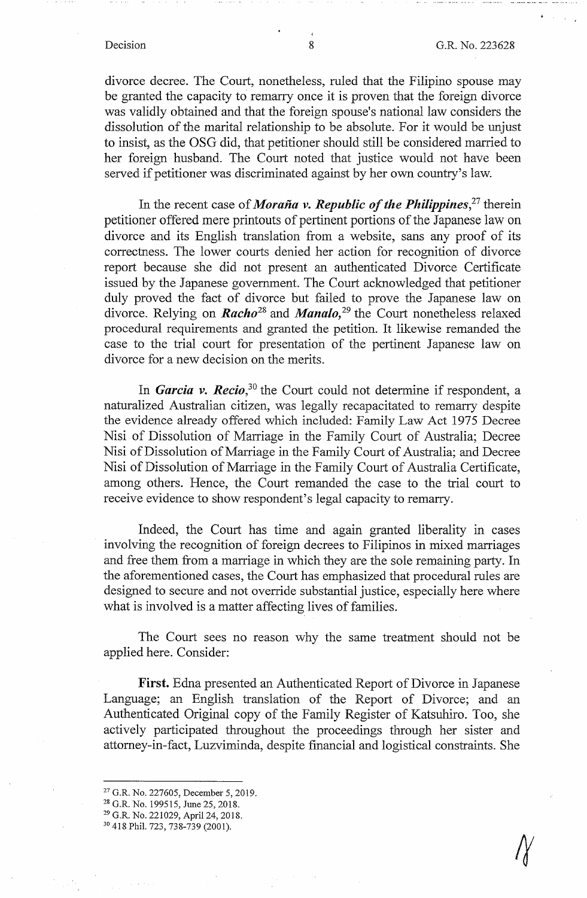divorce decree. The Court, nonetheless, ruled that the Filipino spouse may be granted the capacity to remarry once it is proven that the foreign divorce was validly obtained and that the foreign spouse's national law considers the dissolution of the marital relationship to be absolute. For it would be unjust to insist, as the OSG did, that petitioner should still be considered married to her foreign husband. The Court noted that justice would not have been served if petitioner was discriminated against by her own country's law.

In the recent case of *Moraña v. Republic of the Philippines*<sup>27</sup>, therein petitioner offered mere printouts of pertinent portions of the Japanese law on divorce and its English translation from a website, sans any proof of its correctness. The lower courts denied her action for recognition of divorce report because she did not present an authenticated Divorce Certificate issued by the Japanese government. The Court acknowledged that petitioner duly proved the fact of divorce but failed to prove the Japanese law on divorce. Relying on *Racho*<sup>28</sup> and *Manalo*,<sup>29</sup> the Court nonetheless relaxed procedural requirements and granted the petition. It likewise remanded the case to the trial court for presentation of the pertinent Japanese law on divorce for a new decision on the merits.

In *Garcia v. Recio,***<sup>30</sup>**the Court could not determine if respondent, a naturalized Australian citizen, was legally recapacitated to remarry despite the evidence already offered which included: Family Law Act 1975 Decree Nisi of Dissolution of Marriage in the Family Court of Australia; Decree Nisi of Dissolution of Marriage in the Family Court of Australia; and Decree Nisi of Dissolution of Marriage in the Family Court of Australia Certificate, among others. Hence, the Court remanded the case to the trial court to receive evidence to show respondent's legal capacity to remarry.

Indeed, the Court has time and again granted liberality in cases involving the recognition of foreign decrees to Filipinos in mixed marriages and free them from a marriage in which they are the sole remaining party. In the aforementioned cases, the Court has emphasized that procedural rules are designed to secure and not override substantial justice, especially here where what is involved is a matter affecting lives of families.

The Court sees no reason why the same treatment should not be applied here. Consider:

**First.** Edna presented an Authenticated Report of Divorce in Japanese Language; an English translation of the Report of Divorce; and an Authenticated Original copy of the Family Register of Katsuhiro. Too, she actively participated throughout the proceedings through her sister and attorney-in-fact, Luzviminda, despite financial and logistical constraints. She

<sup>&</sup>lt;sup>27</sup> G.R. No. 227605, December 5, 2019.<br><sup>28</sup> G.R. No. 199515, June 25, 2018.<br><sup>29</sup> G.R. No. 221029, April 24, 2018.<br><sup>30</sup> 418 Phil. 723, 738-739 (2001).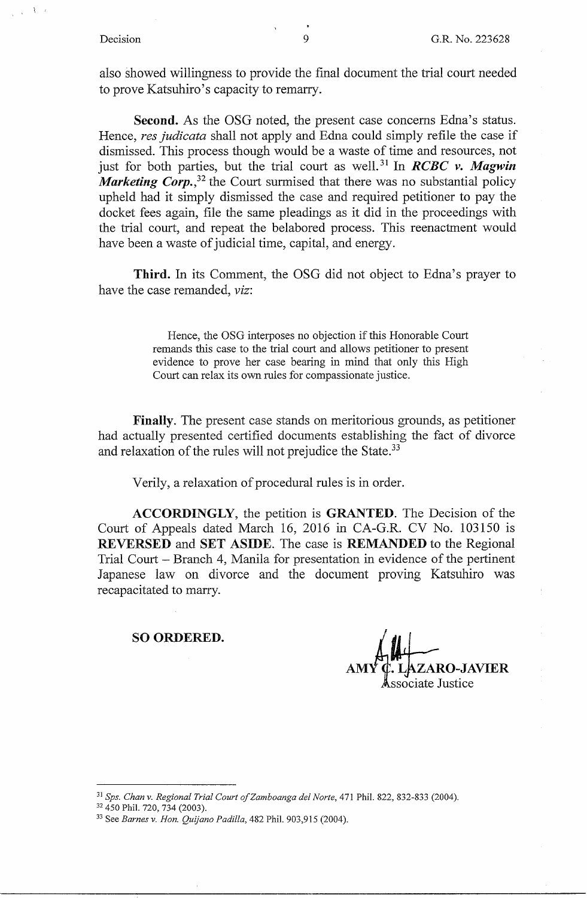also showed willingness to provide the final document the trial court needed to prove Katsuhiro's capacity to remarry.

**Second.** As the OSG noted, the present case concerns Edna's status. Hence, *res judicata* shall not apply and Edna could simply refile the case if dismissed. This process though would be a waste of time and resources, not just for both parties, but the trial court as well. 31 In *RCBC v. Magwin Marketing Corp.*,<sup>32</sup> the Court surmised that there was no substantial policy upheld had it simply dismissed the case and required petitioner to pay the docket fees again, file the same pleadings as it did in the proceedings with the trial court, and repeat the belabored process. This reenactment would have been a waste of judicial time, capital, and energy.

**Third.** In its Comment, the OSG did not object to Edna's prayer to have the case remanded, *viz:* 

> Hence, the OSG interposes no objection if this Honorable Court remands this case to the trial court and allows petitioner to present evidence to prove her case bearing in mind that only this High Court can relax its own rules for compassionate justice.

**Finally.** The present case stands on meritorious grounds, as petitioner had actually presented certified documents establishing the fact of divorce and relaxation of the rules will not prejudice the State.<sup>33</sup>

Verily, a relaxation of procedural rules is in order.

**ACCORDINGLY,** the petition is **GRANTED.** The Decision of the Court of Appeals dated March 16, 2016 in CA-G.R. CV No. 103150 is **REVERSED** and **SET ASIDE.** The case is **REMANDED** to the Regional Trial Court - Branch 4, Manila for presentation in evidence of the pertinent Japanese law on divorce and the document proving Katsuhiro was recapacitated to marry.

#### **SO ORDERED.**

**AM L~JZ~O-JAVIER ssociate Justice** 

<sup>&</sup>lt;sup>31</sup> Sps. Chan v. Regional Trial Court of Zamboanga del Norte, 471 Phil. 822, 832-833 (2004).<br><sup>32</sup> 450 Phil. 720, 734 (2003).<br><sup>33</sup> See *Barnes v. Hon. Quijano Padilla*, 482 Phil. 903,915 (2004).